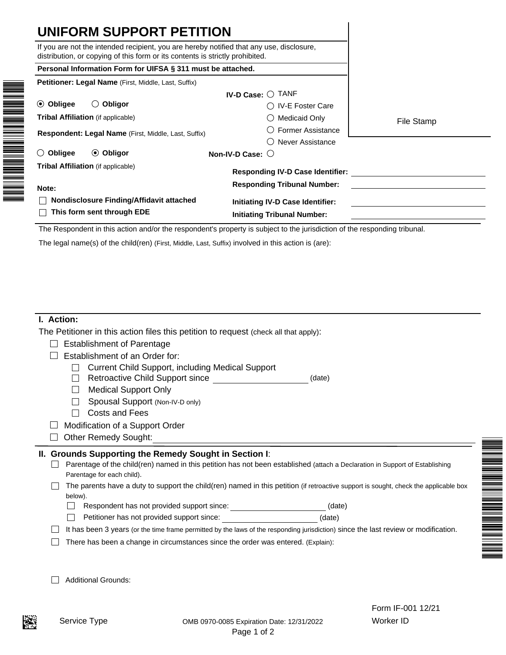| If you are not the intended recipient, you are hereby notified that any use, disclosure,<br>distribution, or copying of this form or its contents is strictly prohibited. |                                                                                                                           |            |
|---------------------------------------------------------------------------------------------------------------------------------------------------------------------------|---------------------------------------------------------------------------------------------------------------------------|------------|
| Personal Information Form for UIFSA § 311 must be attached.                                                                                                               |                                                                                                                           |            |
| Petitioner: Legal Name (First, Middle, Last, Suffix)                                                                                                                      |                                                                                                                           |            |
|                                                                                                                                                                           | IV-D Case: O TANF                                                                                                         |            |
| ⊙ Obligee<br>$\bigcirc$ Obligor                                                                                                                                           | ◯ IV-E Foster Care                                                                                                        |            |
| <b>Tribal Affiliation</b> (if applicable)                                                                                                                                 | <b>Medicaid Only</b>                                                                                                      | File Stamp |
| Respondent: Legal Name (First, Middle, Last, Suffix)                                                                                                                      | <b>Former Assistance</b>                                                                                                  |            |
|                                                                                                                                                                           | Never Assistance                                                                                                          |            |
| Obligee<br>$\odot$ Obligor<br>$\left(\right)$                                                                                                                             | Non-IV-D Case: $\bigcirc$                                                                                                 |            |
| <b>Tribal Affiliation</b> (if applicable)                                                                                                                                 | <b>Responding IV-D Case Identifier:</b>                                                                                   |            |
| Note:                                                                                                                                                                     | <b>Responding Tribunal Number:</b>                                                                                        |            |
| Nondisclosure Finding/Affidavit attached                                                                                                                                  | <b>Initiating IV-D Case Identifier:</b>                                                                                   |            |
| This form sent through EDE                                                                                                                                                | <b>Initiating Tribunal Number:</b>                                                                                        |            |
|                                                                                                                                                                           | The Respondent in this action and/or the respondent's property is subject to the jurisdiction of the responding tribunal. |            |
| The legal name(s) of the child(ren) (First, Middle, Last, Suffix) involved in this action is (are):                                                                       |                                                                                                                           |            |

| I. Action: |
|------------|
|            |

The Petitioner in this action files this petition to request (check all that apply):

|  | $\Box$ Establishment of Parentage |  |
|--|-----------------------------------|--|
|--|-----------------------------------|--|

 $\Box$  Establishment of an Order for:

- □ Current Child Support, including Medical Support
- □ Retroactive Child Support since
- □ Medical Support Only
- Spousal Support (Non-IV-D only)
- □ Costs and Fees
- $\Box$  Modification of a Support Order
- $\Box$  Other Remedy Sought:

# **II. Grounds Supporting the Remedy Sought in Section I**:

 $\Box$  Parentage of the child(ren) named in this petition has not been established (attach a Declaration in Support of Establishing Parentage for each child).

 $\Box$  The parents have a duty to support the child(ren) named in this petition (if retroactive support is sought, check the applicable box below).

(date)

- Respondent has not provided support since: (date)  $\Box$
- $\Box$ Petitioner has not provided support since: (date)
- It has been 3 years (or the time frame permitted by the laws of the responding jurisdiction) since the last review or modification.
- $\Box$  There has been a change in circumstances since the order was entered. (Explain):
- Additional Grounds: